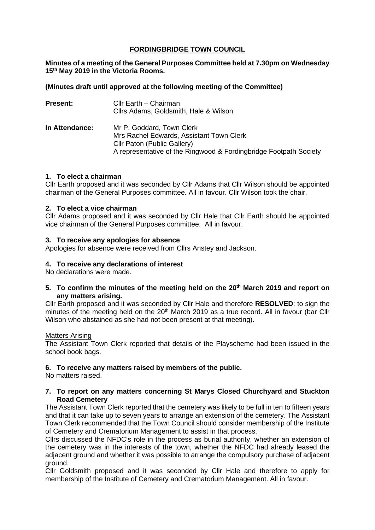# **FORDINGBRIDGE TOWN COUNCIL**

**Minutes of a meeting of the General Purposes Committee held at 7.30pm on Wednesday 15th May 2019 in the Victoria Rooms.**

## **(Minutes draft until approved at the following meeting of the Committee)**

| <b>Present:</b> | Cllr Earth - Chairman<br>Cllrs Adams, Goldsmith, Hale & Wilson                                                                                                            |
|-----------------|---------------------------------------------------------------------------------------------------------------------------------------------------------------------------|
| In Attendance:  | Mr P. Goddard, Town Clerk<br>Mrs Rachel Edwards, Assistant Town Clerk<br>Cllr Paton (Public Gallery)<br>A representative of the Ringwood & Fordingbridge Footpath Society |

## **1. To elect a chairman**

Cllr Earth proposed and it was seconded by Cllr Adams that Cllr Wilson should be appointed chairman of the General Purposes committee. All in favour. Cllr Wilson took the chair.

### **2. To elect a vice chairman**

Cllr Adams proposed and it was seconded by Cllr Hale that Cllr Earth should be appointed vice chairman of the General Purposes committee. All in favour.

#### **3. To receive any apologies for absence**

Apologies for absence were received from Cllrs Anstey and Jackson.

### **4. To receive any declarations of interest**

No declarations were made.

**5. To confirm the minutes of the meeting held on the 20th March 2019 and report on any matters arising.**

Cllr Earth proposed and it was seconded by Cllr Hale and therefore **RESOLVED**: to sign the minutes of the meeting held on the 20<sup>th</sup> March 2019 as a true record. All in favour (bar Cllr Wilson who abstained as she had not been present at that meeting).

#### Matters Arising

The Assistant Town Clerk reported that details of the Playscheme had been issued in the school book bags.

## **6. To receive any matters raised by members of the public.**

No matters raised.

#### **7. To report on any matters concerning St Marys Closed Churchyard and Stuckton Road Cemetery**

The Assistant Town Clerk reported that the cemetery was likely to be full in ten to fifteen years and that it can take up to seven years to arrange an extension of the cemetery. The Assistant Town Clerk recommended that the Town Council should consider membership of the Institute of Cemetery and Crematorium Management to assist in that process.

Cllrs discussed the NFDC's role in the process as burial authority, whether an extension of the cemetery was in the interests of the town, whether the NFDC had already leased the adjacent ground and whether it was possible to arrange the compulsory purchase of adjacent ground.

Cllr Goldsmith proposed and it was seconded by Cllr Hale and therefore to apply for membership of the Institute of Cemetery and Crematorium Management. All in favour.